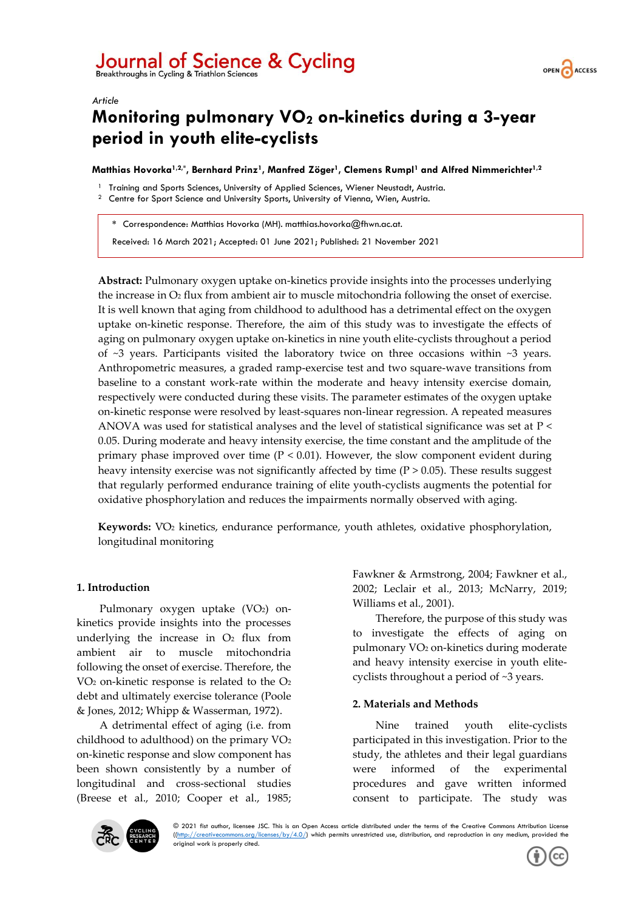# Journal of Science & Cycling

*Article*



# **Monitoring pulmonary VO<sup>2</sup> on-kinetics during a 3-year period in youth elite-cyclists**

**Matthias Hovorka1,2,\* , Bernhard Prinz1, Manfred Zöger1, Clemens Rumpl<sup>1</sup> and Alfred Nimmerichter1,2**

- <sup>1</sup> Training and Sports Sciences, University of Applied Sciences, Wiener Neustadt, Austria.
- <sup>2</sup> Centre for Sport Science and University Sports, University of Vienna, Wien, Austria.

**\*** Correspondence: Matthias Hovorka (MH). matthias.hovorka@fhwn.ac.at.

Received: 16 March 2021; Accepted: 01 June 2021; Published: 21 November 2021

**Abstract:** Pulmonary oxygen uptake on-kinetics provide insights into the processes underlying the increase in  $O<sub>2</sub>$  flux from ambient air to muscle mitochondria following the onset of exercise. It is well known that aging from childhood to adulthood has a detrimental effect on the oxygen uptake on-kinetic response. Therefore, the aim of this study was to investigate the effects of aging on pulmonary oxygen uptake on-kinetics in nine youth elite-cyclists throughout a period of  $\sim$ 3 years. Participants visited the laboratory twice on three occasions within  $\sim$ 3 years. Anthropometric measures, a graded ramp-exercise test and two square-wave transitions from baseline to a constant work-rate within the moderate and heavy intensity exercise domain, respectively were conducted during these visits. The parameter estimates of the oxygen uptake on-kinetic response were resolved by least-squares non-linear regression. A repeated measures ANOVA was used for statistical analyses and the level of statistical significance was set at P < 0.05. During moderate and heavy intensity exercise, the time constant and the amplitude of the primary phase improved over time  $(P < 0.01)$ . However, the slow component evident during heavy intensity exercise was not significantly affected by time (P > 0.05). These results suggest that regularly performed endurance training of elite youth-cyclists augments the potential for oxidative phosphorylation and reduces the impairments normally observed with aging.

**Keywords:** V̇O<sup>2</sup> kinetics, endurance performance, youth athletes, oxidative phosphorylation, longitudinal monitoring

### **1. Introduction**

Pulmonary oxygen uptake (VO<sub>2</sub>) onkinetics provide insights into the processes underlying the increase in  $O<sub>2</sub>$  flux from ambient air to muscle mitochondria following the onset of exercise. Therefore, the VO<sup>2</sup> on-kinetic response is related to the O<sup>2</sup> debt and ultimately exercise tolerance (Poole & Jones, 2012; Whipp & Wasserman, 1972).

A detrimental effect of aging (i.e. from childhood to adulthood) on the primary VO<sup>2</sup> on-kinetic response and slow component has been shown consistently by a number of longitudinal and cross-sectional studies (Breese et al., 2010; Cooper et al., 1985; Fawkner & Armstrong, 2004; Fawkner et al., 2002; Leclair et al., 2013; McNarry, 2019; Williams et al., 2001).

Therefore, the purpose of this study was to investigate the effects of aging on pulmonary VO<sup>2</sup> on-kinetics during moderate and heavy intensity exercise in youth elitecyclists throughout a period of ~3 years.

#### **2. Materials and Methods**

Nine trained youth elite-cyclists participated in this investigation. Prior to the study, the athletes and their legal guardians were informed of the experimental procedures and gave written informed consent to participate. The study was



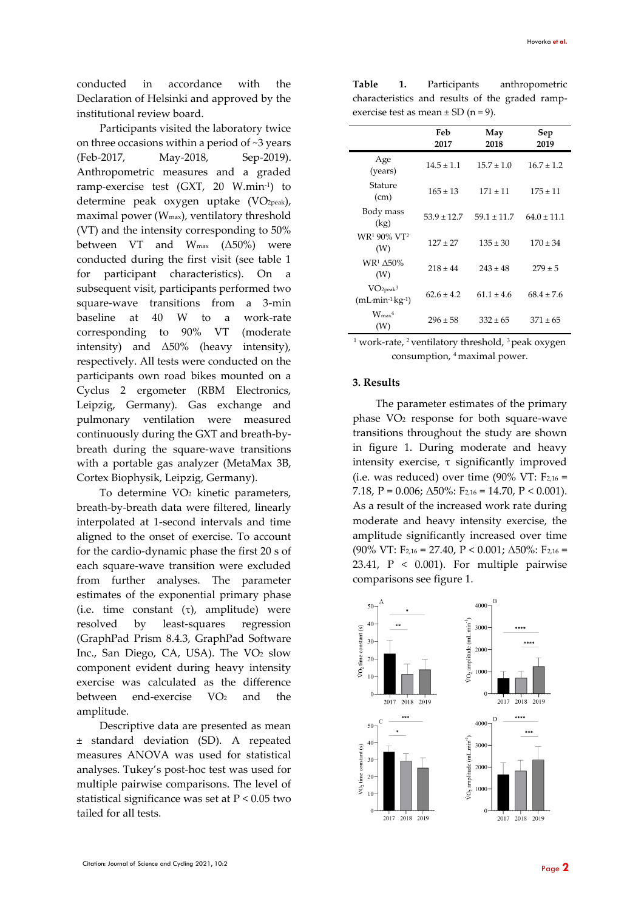conducted in accordance with the Declaration of Helsinki and approved by the institutional review board.

Participants visited the laboratory twice on three occasions within a period of ~3 years (Feb-2017, May-2018, Sep-2019). Anthropometric measures and a graded ramp-exercise test (GXT, 20 W.min-1 ) to determine peak oxygen uptake (VO<sub>2peak</sub>), maximal power (Wmax), ventilatory threshold (VT) and the intensity corresponding to 50% between VT and  $W_{\text{max}}$  ( $\Delta$ 50%) were conducted during the first visit (see table 1 for participant characteristics). On a subsequent visit, participants performed two square-wave transitions from a 3-min baseline at 40 W to a work-rate corresponding to 90% VT (moderate intensity) and  $\Delta 50\%$  (heavy intensity), respectively. All tests were conducted on the participants own road bikes mounted on a Cyclus 2 ergometer (RBM Electronics, Leipzig, Germany). Gas exchange and pulmonary ventilation were measured continuously during the GXT and breath-bybreath during the square-wave transitions with a portable gas analyzer (MetaMax 3B, Cortex Biophysik, Leipzig, Germany).

To determine VO<sup>2</sup> kinetic parameters, breath-by-breath data were filtered, linearly interpolated at 1-second intervals and time aligned to the onset of exercise. To account for the cardio-dynamic phase the first 20 s of each square-wave transition were excluded from further analyses. The parameter estimates of the exponential primary phase (i.e. time constant  $(\tau)$ , amplitude) were resolved by least-squares regression (GraphPad Prism 8.4.3, GraphPad Software Inc., San Diego, CA, USA). The VO<sup>2</sup> slow component evident during heavy intensity exercise was calculated as the difference between end-exercise  $VO<sub>2</sub>$  and the amplitude.

Descriptive data are presented as mean ± standard deviation (SD). A repeated measures ANOVA was used for statistical analyses. Tukey's post-hoc test was used for multiple pairwise comparisons. The level of statistical significance was set at P < 0.05 two tailed for all tests.

**Table 1.** Participants anthropometric characteristics and results of the graded rampexercise test as mean  $\pm$  SD (n = 9).

|                                                                | Feb<br>2017     | May<br>2018     | Sep<br>2019     |
|----------------------------------------------------------------|-----------------|-----------------|-----------------|
| Age<br>(years)                                                 | $14.5 \pm 1.1$  | $15.7 \pm 1.0$  | $16.7 \pm 1.2$  |
| Stature<br>(cm)                                                | $165 \pm 13$    | $171 \pm 11$    | $175 \pm 11$    |
| Body mass<br>(kg)                                              | $53.9 \pm 12.7$ | $59.1 \pm 11.7$ | $64.0 \pm 11.1$ |
| WR1 90% VT2<br>(W)                                             | $127 \pm 27$    | $135 \pm 30$    | $170 \pm 34$    |
| <b>WR1 A50%</b><br>(W)                                         | $218 \pm 44$    | $243 \pm 48$    | $279 \pm 5$     |
| VO <sub>2peak</sub> <sup>3</sup><br>$(mL \, min^{-1} kg^{-1})$ | $62.6 \pm 4.2$  | $61.1 \pm 4.6$  | $68.4 \pm 7.6$  |
| $W_{\rm max}$ 4<br>(W)                                         | $296 \pm 58$    | $332 \pm 65$    | $371 \pm 65$    |

<sup>1</sup> work-rate, <sup>2</sup> ventilatory threshold, <sup>3</sup> peak oxygen consumption, <sup>4</sup>maximal power.

#### **3. Results**

The parameter estimates of the primary phase VO<sup>2</sup> response for both square-wave transitions throughout the study are shown in figure 1. During moderate and heavy intensity exercise, τ significantly improved (i.e. was reduced) over time (90% VT:  $F_{2,16}$  = 7.18,  $P = 0.006$ ;  $\Delta 50\%$ :  $F_{2,16} = 14.70$ ,  $P < 0.001$ ). As a result of the increased work rate during moderate and heavy intensity exercise, the amplitude significantly increased over time (90% VT: F<sub>2,16</sub> = 27.40, P < 0.001;  $\Delta$ 50%: F<sub>2,16</sub> = 23.41,  $P \leq 0.001$ ). For multiple pairwise comparisons see figure 1.

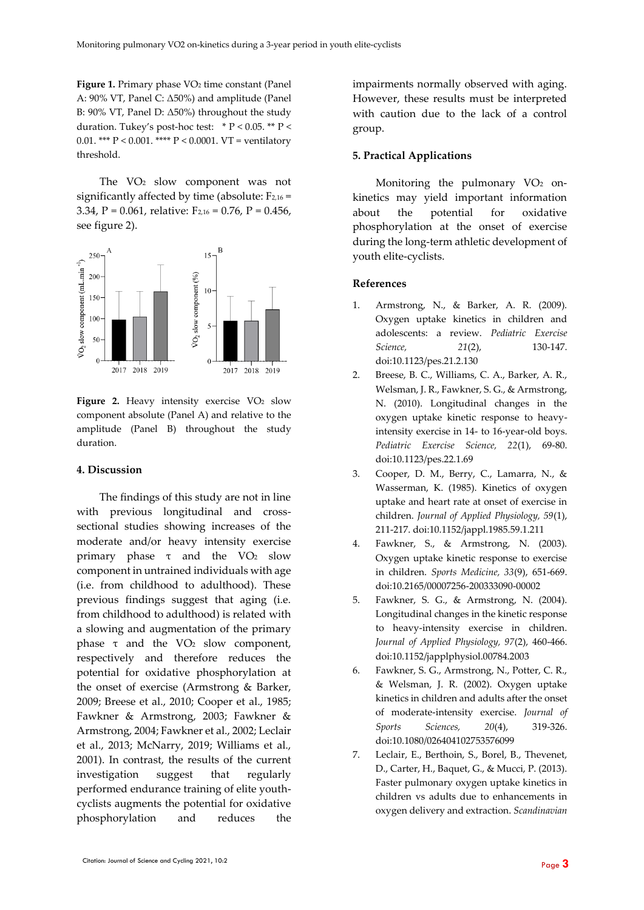**Figure 1.** Primary phase VO<sub>2</sub> time constant (Panel A: 90% VT, Panel C: Δ50%) and amplitude (Panel B: 90% VT, Panel D: Δ50%) throughout the study duration. Tukey's post-hoc test:  $* P < 0.05$ .  $* P <$ 0.01. \*\*\*  $P < 0.001$ . \*\*\*\*  $P < 0.0001$ . VT = ventilatory threshold.

The VO<sup>2</sup> slow component was not significantly affected by time (absolute:  $F_{2,16}$  = 3.34, P = 0.061, relative:  $F_{2,16} = 0.76$ , P = 0.456, see figure 2).



Figure 2. Heavy intensity exercise VO<sub>2</sub> slow component absolute (Panel A) and relative to the amplitude (Panel B) throughout the study duration.

#### **4. Discussion**

The findings of this study are not in line with previous longitudinal and crosssectional studies showing increases of the moderate and/or heavy intensity exercise primary phase  $τ$  and the  $VO<sub>2</sub>$  slow component in untrained individuals with age (i.e. from childhood to adulthood). These previous findings suggest that aging (i.e. from childhood to adulthood) is related with a slowing and augmentation of the primary phase  $τ$  and the  $VO<sub>2</sub>$  slow component, respectively and therefore reduces the potential for oxidative phosphorylation at the onset of exercise (Armstrong & Barker, 2009; Breese et al., 2010; Cooper et al., 1985; Fawkner & Armstrong, 2003; Fawkner & Armstrong, 2004; Fawkner et al., 2002; Leclair et al., 2013; McNarry, 2019; Williams et al., 2001). In contrast, the results of the current investigation suggest that regularly performed endurance training of elite youthcyclists augments the potential for oxidative phosphorylation and reduces the

impairments normally observed with aging. However, these results must be interpreted with caution due to the lack of a control group.

# **5. Practical Applications**

Monitoring the pulmonary VO<sub>2</sub> onkinetics may yield important information about the potential for oxidative phosphorylation at the onset of exercise during the long-term athletic development of youth elite-cyclists.

# **References**

- 1. Armstrong, N., & Barker, A. R. (2009). Oxygen uptake kinetics in children and adolescents: a review. *Pediatric Exercise Science.* 21(2), 210-147. doi:10.1123/pes.21.2.130
- 2. Breese, B. C., Williams, C. A., Barker, A. R., Welsman, J. R., Fawkner, S. G., & Armstrong, N. (2010). Longitudinal changes in the oxygen uptake kinetic response to heavyintensity exercise in 14- to 16-year-old boys. *Pediatric Exercise Science, 22*(1), 69-80. doi:10.1123/pes.22.1.69
- 3. Cooper, D. M., Berry, C., Lamarra, N., & Wasserman, K. (1985). Kinetics of oxygen uptake and heart rate at onset of exercise in children. *Journal of Applied Physiology, 59*(1), 211-217. doi:10.1152/jappl.1985.59.1.211
- 4. Fawkner, S., & Armstrong, N. (2003). Oxygen uptake kinetic response to exercise in children. *Sports Medicine, 33*(9), 651-669. doi:10.2165/00007256-200333090-00002
- 5. Fawkner, S. G., & Armstrong, N. (2004). Longitudinal changes in the kinetic response to heavy-intensity exercise in children. *Journal of Applied Physiology, 97*(2), 460-466. doi:10.1152/japplphysiol.00784.2003
- 6. Fawkner, S. G., Armstrong, N., Potter, C. R., & Welsman, J. R. (2002). Oxygen uptake kinetics in children and adults after the onset of moderate-intensity exercise. *Journal of Sports Sciences, 20*(4), 319-326. doi:10.1080/026404102753576099
- 7. Leclair, E., Berthoin, S., Borel, B., Thevenet, D., Carter, H., Baquet, G., & Mucci, P. (2013). Faster pulmonary oxygen uptake kinetics in children vs adults due to enhancements in oxygen delivery and extraction. *Scandinavian*